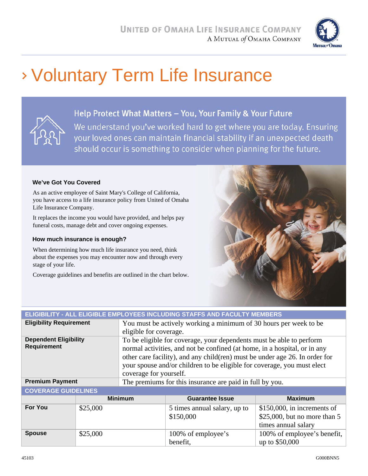

## Voluntary Term Life Insurance



### Help Protect What Matters - You, Your Family & Your Future

We understand you've worked hard to get where you are today. Ensuring your loved ones can maintain financial stability if an unexpected death should occur is something to consider when planning for the future.

#### **We've Got You Covered**

As an active employee of Saint Mary's College of California, you have access to a life insurance policy from United of Omaha Life Insurance Company.

It replaces the income you would have provided, and helps pay funeral costs, manage debt and cover ongoing expenses.

#### **How much insurance is enough?**

When determining how much life insurance you need, think about the expenses you may encounter now and through every stage of your life.

Coverage guidelines and benefits are outlined in the chart below.



## **ELIGIBILITY - ALL ELIGIBLE EMPLOYEES INCLUDING STAFFS AND FACULTY MEMBERS**

| <b>Eligibility Requirement</b>                     | You must be actively working a minimum of 30 hours per week to be                                                                                                                                                                                                                                                                      |
|----------------------------------------------------|----------------------------------------------------------------------------------------------------------------------------------------------------------------------------------------------------------------------------------------------------------------------------------------------------------------------------------------|
|                                                    | eligible for coverage.                                                                                                                                                                                                                                                                                                                 |
| <b>Dependent Eligibility</b><br><b>Requirement</b> | To be eligible for coverage, your dependents must be able to perform<br>normal activities, and not be confined (at home, in a hospital, or in any<br>other care facility), and any child (ren) must be under age 26. In order for<br>your spouse and/or children to be eligible for coverage, you must elect<br>coverage for yourself. |
| <b>Premium Payment</b>                             | The premiums for this insurance are paid in full by you.                                                                                                                                                                                                                                                                               |
|                                                    |                                                                                                                                                                                                                                                                                                                                        |

#### **COVERAGE GUIDELINES**

|                | <b>Minimum</b> | <b>Guarantee Issue</b>                    | <b>Maximum</b>                                                                         |
|----------------|----------------|-------------------------------------------|----------------------------------------------------------------------------------------|
| <b>For You</b> | \$25,000       | 5 times annual salary, up to<br>\$150,000 | $$150,000$ , in increments of<br>\$25,000, but no more than $5$<br>times annual salary |
| <b>Spouse</b>  | \$25,000       | 100% of employee's<br>benefit,            | 100% of employee's benefit,<br>up to \$50,000                                          |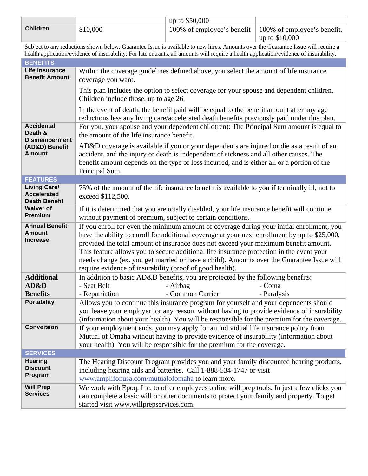|                 |          | up to $$50,000$            |                                     |
|-----------------|----------|----------------------------|-------------------------------------|
| <b>Children</b> | \$10,000 | 100% of employee's benefit | $\perp$ 100% of employee's benefit, |
|                 |          |                            | up to $$10,000$                     |

Subject to any reductions shown below. Guarantee Issue is available to new hires. Amounts over the Guarantee Issue will require a health application/evidence of insurability. For late entrants, all amounts will require a health application/evidence of insurability.

| <b>BENEFITS</b>                                                   |                                                                                                                                                                                                                                                                                                                                                                                                                                                                                                                                        |
|-------------------------------------------------------------------|----------------------------------------------------------------------------------------------------------------------------------------------------------------------------------------------------------------------------------------------------------------------------------------------------------------------------------------------------------------------------------------------------------------------------------------------------------------------------------------------------------------------------------------|
| <b>Life Insurance</b><br><b>Benefit Amount</b>                    | Within the coverage guidelines defined above, you select the amount of life insurance<br>coverage you want.                                                                                                                                                                                                                                                                                                                                                                                                                            |
|                                                                   | This plan includes the option to select coverage for your spouse and dependent children.<br>Children include those, up to age 26.                                                                                                                                                                                                                                                                                                                                                                                                      |
|                                                                   | In the event of death, the benefit paid will be equal to the benefit amount after any age<br>reductions less any living care/accelerated death benefits previously paid under this plan.                                                                                                                                                                                                                                                                                                                                               |
| <b>Accidental</b><br>Death &<br><b>Dismemberment</b>              | For you, your spouse and your dependent child(ren): The Principal Sum amount is equal to<br>the amount of the life insurance benefit.                                                                                                                                                                                                                                                                                                                                                                                                  |
| (AD&D) Benefit<br><b>Amount</b>                                   | AD&D coverage is available if you or your dependents are injured or die as a result of an<br>accident, and the injury or death is independent of sickness and all other causes. The<br>benefit amount depends on the type of loss incurred, and is either all or a portion of the<br>Principal Sum.                                                                                                                                                                                                                                    |
| <b>FEATURES</b>                                                   |                                                                                                                                                                                                                                                                                                                                                                                                                                                                                                                                        |
| <b>Living Care/</b><br><b>Accelerated</b><br><b>Death Benefit</b> | 75% of the amount of the life insurance benefit is available to you if terminally ill, not to<br>exceed \$112,500.                                                                                                                                                                                                                                                                                                                                                                                                                     |
| <b>Waiver of</b><br><b>Premium</b>                                | If it is determined that you are totally disabled, your life insurance benefit will continue<br>without payment of premium, subject to certain conditions.                                                                                                                                                                                                                                                                                                                                                                             |
| <b>Annual Benefit</b><br><b>Amount</b><br><b>Increase</b>         | If you enroll for even the minimum amount of coverage during your initial enrollment, you<br>have the ability to enroll for additional coverage at your next enrollment by up to \$25,000,<br>provided the total amount of insurance does not exceed your maximum benefit amount.<br>This feature allows you to secure additional life insurance protection in the event your<br>needs change (ex. you get married or have a child). Amounts over the Guarantee Issue will<br>require evidence of insurability (proof of good health). |
| <b>Additional</b><br>AD&D                                         | In addition to basic AD&D benefits, you are protected by the following benefits:<br>- Seat Belt<br>- Coma<br>- Airbag                                                                                                                                                                                                                                                                                                                                                                                                                  |
| <b>Benefits</b>                                                   | - Repatriation<br>- Common Carrier<br>- Paralysis                                                                                                                                                                                                                                                                                                                                                                                                                                                                                      |
| <b>Portability</b>                                                | Allows you to continue this insurance program for yourself and your dependents should<br>you leave your employer for any reason, without having to provide evidence of insurability<br>(information about your health). You will be responsible for the premium for the coverage.                                                                                                                                                                                                                                                      |
| Conversion                                                        | If your employment ends, you may apply for an individual life insurance policy from<br>Mutual of Omaha without having to provide evidence of insurability (information about<br>your health). You will be responsible for the premium for the coverage.                                                                                                                                                                                                                                                                                |
| <b>SERVICES</b>                                                   |                                                                                                                                                                                                                                                                                                                                                                                                                                                                                                                                        |
| <b>Hearing</b>                                                    | The Hearing Discount Program provides you and your family discounted hearing products,                                                                                                                                                                                                                                                                                                                                                                                                                                                 |
| <b>Discount</b><br>Program                                        | including hearing aids and batteries. Call 1-888-534-1747 or visit<br>www.amplifonusa.com/mutualofomaha to learn more.                                                                                                                                                                                                                                                                                                                                                                                                                 |
| <b>Will Prep</b><br><b>Services</b>                               | We work with Epoq, Inc. to offer employees online will prep tools. In just a few clicks you<br>can complete a basic will or other documents to protect your family and property. To get<br>started visit www.willprepservices.com.                                                                                                                                                                                                                                                                                                     |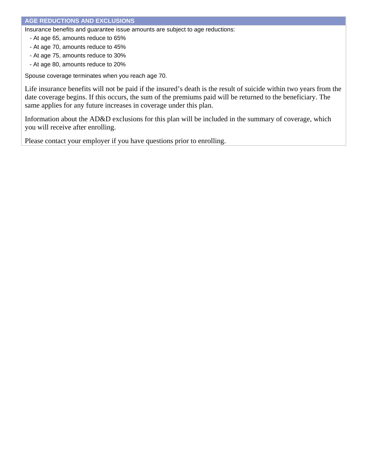Insurance benefits and guarantee issue amounts are subject to age reductions:

- At age 65, amounts reduce to 65%
- At age 70, amounts reduce to 45%
- At age 75, amounts reduce to 30%
- At age 80, amounts reduce to 20%

Spouse coverage terminates when you reach age 70.

Life insurance benefits will not be paid if the insured's death is the result of suicide within two years from the date coverage begins. If this occurs, the sum of the premiums paid will be returned to the beneficiary. The same applies for any future increases in coverage under this plan.

Information about the AD&D exclusions for this plan will be included in the summary of coverage, which you will receive after enrolling.

Please contact your employer if you have questions prior to enrolling.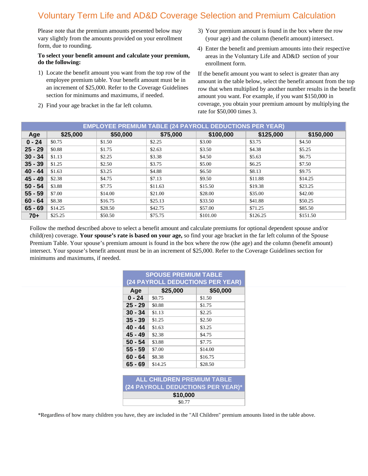## Voluntary Term Life and AD&D Coverage Selection and Premium Calculation

Please note that the premium amounts presented below may vary slightly from the amounts provided on your enrollment form, due to rounding.

#### **To select your benefit amount and calculate your premium, do the following:**

- 1) Locate the benefit amount you want from the top row of the employee premium table. Your benefit amount must be in an increment of \$25,000. Refer to the Coverage Guidelines section for minimums and maximums, if needed.
- 2) Find your age bracket in the far left column.
- 3) Your premium amount is found in the box where the row (your age) and the column (benefit amount) intersect.
- 4) Enter the benefit and premium amounts into their respective areas in the Voluntary Life and AD&D section of your enrollment form.

If the benefit amount you want to select is greater than any amount in the table below, select the benefit amount from the top row that when multiplied by another number results in the benefit amount you want. For example, if you want \$150,000 in coverage, you obtain your premium amount by multiplying the rate for \$50,000 times 3.

|           |          | <b>EMPLOYEE PREMIUM TABLE (24 PAYROLL DEDUCTIONS PER YEAR)</b> |          |           |           |           |
|-----------|----------|----------------------------------------------------------------|----------|-----------|-----------|-----------|
| Age       | \$25,000 | \$50,000                                                       | \$75,000 | \$100,000 | \$125,000 | \$150,000 |
| $0 - 24$  | \$0.75   | \$1.50                                                         | \$2.25   | \$3.00    | \$3.75    | \$4.50    |
| $25 - 29$ | \$0.88   | \$1.75                                                         | \$2.63   | \$3.50    | \$4.38    | \$5.25    |
| $30 - 34$ | \$1.13   | \$2.25                                                         | \$3.38   | \$4.50    | \$5.63    | \$6.75    |
| $35 - 39$ | \$1.25   | \$2.50                                                         | \$3.75   | \$5.00    | \$6.25    | \$7.50    |
| $40 - 44$ | \$1.63   | \$3.25                                                         | \$4.88   | \$6.50    | \$8.13    | \$9.75    |
| $45 - 49$ | \$2.38   | \$4.75                                                         | \$7.13   | \$9.50    | \$11.88   | \$14.25   |
| $50 - 54$ | \$3.88   | \$7.75                                                         | \$11.63  | \$15.50   | \$19.38   | \$23.25   |
| $55 - 59$ | \$7.00   | \$14.00                                                        | \$21.00  | \$28.00   | \$35.00   | \$42.00   |
| $60 - 64$ | \$8.38   | \$16.75                                                        | \$25.13  | \$33.50   | \$41.88   | \$50.25   |
| $65 - 69$ | \$14.25  | \$28.50                                                        | \$42.75  | \$57.00   | \$71.25   | \$85.50   |
| $70+$     | \$25.25  | \$50.50                                                        | \$75.75  | \$101.00  | \$126.25  | \$151.50  |

Follow the method described above to select a benefit amount and calculate premiums for optional dependent spouse and/or child(ren) coverage. **Your spouse's rate is based on your age,** so find your age bracket in the far left column of the Spouse Premium Table. Your spouse's premium amount is found in the box where the row (the age) and the column (benefit amount) intersect. Your spouse's benefit amount must be in an increment of \$25,000. Refer to the Coverage Guidelines section for minimums and maximums, if needed.

|           | <b>SPOUSE PREMIUM TABLE</b>       |          |  |
|-----------|-----------------------------------|----------|--|
|           | (24 PAYROLL DEDUCTIONS PER YEAR)  |          |  |
| Age       | \$25,000                          | \$50,000 |  |
| $0 - 24$  | \$0.75                            | \$1.50   |  |
| $25 - 29$ | \$0.88                            | \$1.75   |  |
| $30 - 34$ | \$1.13                            | \$2.25   |  |
| $35 - 39$ | \$1.25                            | \$2.50   |  |
| $40 - 44$ | \$1.63                            | \$3.25   |  |
| 45 - 49   | \$2.38                            | \$4.75   |  |
| $50 - 54$ | \$3.88                            | \$7.75   |  |
| $55 - 59$ | \$7.00                            | \$14.00  |  |
| $60 - 64$ | \$8.38                            | \$16.75  |  |
| $65 - 69$ | \$14.25                           | \$28.50  |  |
|           |                                   |          |  |
|           | ALL CHILDREN PREMIUM TABLE        |          |  |
|           | (24 PAYROLL DEDUCTIONS PER YEAR)* |          |  |
|           | \$10,000                          |          |  |
|           | \$0.77                            |          |  |

\*Regardless of how many children you have, they are included in the "All Children" premium amounts listed in the table above.